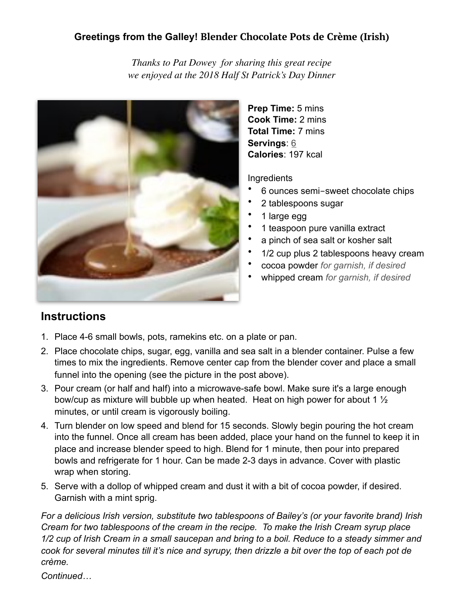## **Greetings from the Galley! Blender Chocolate Pots de Crème (Irish)**

*Thanks to Pat Dowey for sharing this great recipe we enjoyed at the 2018 Half St Patrick's Day Dinner*



**Prep Time:** 5 mins **Cook Time:** 2 mins **Total Time:** 7 mins **Servings**: [6](https://thecafesucrefarine.com/blender-chocolate-pots-de-creme/) **Calories**: 197 kcal

**Ingredients** 

- 6 ounces semi-sweet chocolate chips
- 2 tablespoons sugar
- 1 large egg
- 1 teaspoon pure vanilla extract
- a pinch of sea salt or kosher salt
- 1/2 cup plus 2 tablespoons heavy cream
- cocoa powder *for garnish, if desired*
- whipped cream *for garnish, if desired*

## **Instructions**

- 1. Place 4-6 small bowls, pots, ramekins etc. on a plate or pan.
- 2. Place chocolate chips, sugar, egg, vanilla and sea salt in a blender container. Pulse a few times to mix the ingredients. Remove center cap from the blender cover and place a small funnel into the opening (see the picture in the post above).
- 3. Pour cream (or half and half) into a microwave-safe bowl. Make sure it's a large enough bow/cup as mixture will bubble up when heated. Heat on high power for about 1 ½ minutes, or until cream is vigorously boiling.
- 4. Turn blender on low speed and blend for 15 seconds. Slowly begin pouring the hot cream into the funnel. Once all cream has been added, place your hand on the funnel to keep it in place and increase blender speed to high. Blend for 1 minute, then pour into prepared bowls and refrigerate for 1 hour. Can be made 2-3 days in advance. Cover with plastic wrap when storing.
- 5. Serve with a dollop of whipped cream and dust it with a bit of cocoa powder, if desired. Garnish with a mint sprig.

*For a delicious Irish version, substitute two tablespoons of Bailey's (or your favorite brand) Irish Cream for two tablespoons of the cream in the recipe. To make the Irish Cream syrup place 1/2 cup of Irish Cream in a small saucepan and bring to a boil. Reduce to a steady simmer and cook for several minutes till it's nice and syrupy, then drizzle a bit over the top of each pot de crème.*

*Continued…*